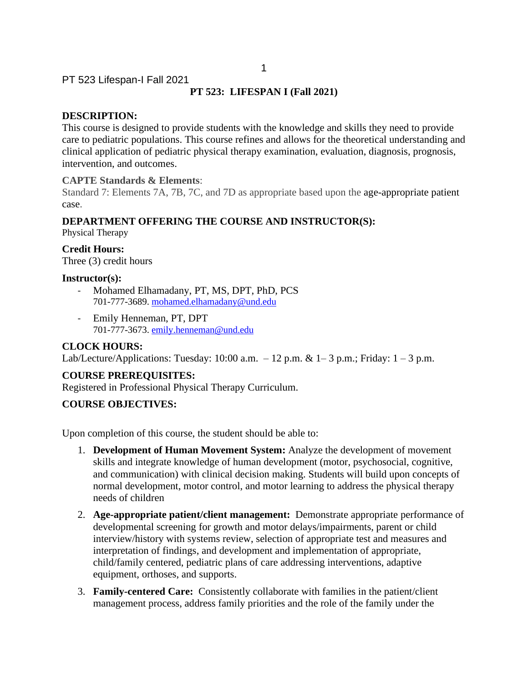# **PT 523: LIFESPAN I (Fall 2021)**

## **DESCRIPTION:**

This course is designed to provide students with the knowledge and skills they need to provide care to pediatric populations. This course refines and allows for the theoretical understanding and clinical application of pediatric physical therapy examination, evaluation, diagnosis, prognosis, intervention, and outcomes.

#### **CAPTE Standards & Elements**:

Standard 7: Elements 7A, 7B, 7C, and 7D as appropriate based upon the age-appropriate patient case.

#### **DEPARTMENT OFFERING THE COURSE AND INSTRUCTOR(S):**

Physical Therapy

**Credit Hours:** Three (3) credit hours

#### **Instructor(s):**

- Mohamed Elhamadany, PT, MS, DPT, PhD, PCS 701-777-3689. mohamed.elhamadany@und.edu
- Emily Henneman, PT, DPT 701-777-3673. emily.henneman@und.edu

#### **CLOCK HOURS:**

Lab/Lecture/Applications: Tuesday: 10:00 a.m.  $-12$  p.m. & 1–3 p.m.; Friday: 1 – 3 p.m.

#### **COURSE PREREQUISITES:**

Registered in Professional Physical Therapy Curriculum.

### **COURSE OBJECTIVES:**

Upon completion of this course, the student should be able to:

- 1. **Development of Human Movement System:** Analyze the development of movement skills and integrate knowledge of human development (motor, psychosocial, cognitive, and communication) with clinical decision making. Students will build upon concepts of normal development, motor control, and motor learning to address the physical therapy needs of children
- 2. **Age-appropriate patient/client management:** Demonstrate appropriate performance of developmental screening for growth and motor delays/impairments, parent or child interview/history with systems review, selection of appropriate test and measures and interpretation of findings, and development and implementation of appropriate, child/family centered, pediatric plans of care addressing interventions, adaptive equipment, orthoses, and supports.
- 3. **Family-centered Care:** Consistently collaborate with families in the patient/client management process, address family priorities and the role of the family under the

1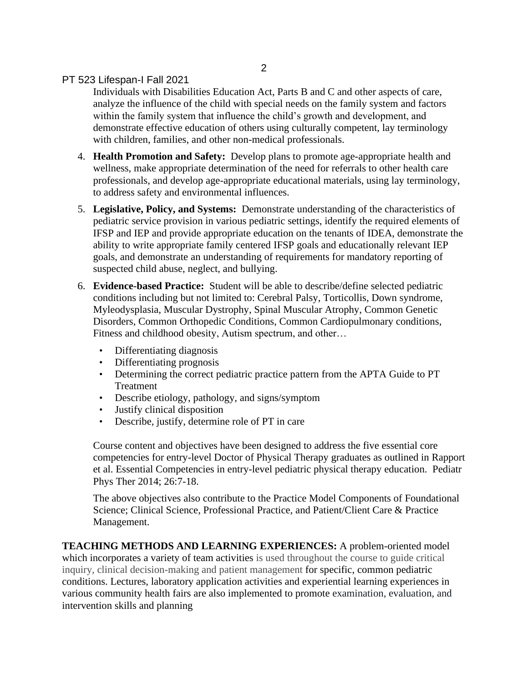Individuals with Disabilities Education Act, Parts B and C and other aspects of care, analyze the influence of the child with special needs on the family system and factors within the family system that influence the child's growth and development, and demonstrate effective education of others using culturally competent, lay terminology with children, families, and other non-medical professionals.

- 4. **Health Promotion and Safety:** Develop plans to promote age-appropriate health and wellness, make appropriate determination of the need for referrals to other health care professionals, and develop age-appropriate educational materials, using lay terminology, to address safety and environmental influences.
- 5. **Legislative, Policy, and Systems:** Demonstrate understanding of the characteristics of pediatric service provision in various pediatric settings, identify the required elements of IFSP and IEP and provide appropriate education on the tenants of IDEA, demonstrate the ability to write appropriate family centered IFSP goals and educationally relevant IEP goals, and demonstrate an understanding of requirements for mandatory reporting of suspected child abuse, neglect, and bullying.
- 6. **Evidence-based Practice:** Student will be able to describe/define selected pediatric conditions including but not limited to: Cerebral Palsy, Torticollis, Down syndrome, Myleodysplasia, Muscular Dystrophy, Spinal Muscular Atrophy, Common Genetic Disorders, Common Orthopedic Conditions, Common Cardiopulmonary conditions, Fitness and childhood obesity, Autism spectrum, and other…
	- Differentiating diagnosis
	- Differentiating prognosis
	- Determining the correct pediatric practice pattern from the APTA Guide to PT Treatment
	- Describe etiology, pathology, and signs/symptom
	- Justify clinical disposition
	- Describe, justify, determine role of PT in care

Course content and objectives have been designed to address the five essential core competencies for entry-level Doctor of Physical Therapy graduates as outlined in Rapport et al. Essential Competencies in entry-level pediatric physical therapy education. Pediatr Phys Ther 2014; 26:7-18.

The above objectives also contribute to the Practice Model Components of Foundational Science; Clinical Science, Professional Practice, and Patient/Client Care & Practice Management.

**TEACHING METHODS AND LEARNING EXPERIENCES:** A problem-oriented model which incorporates a variety of team activities is used throughout the course to guide critical inquiry, clinical decision-making and patient management for specific, common pediatric conditions. Lectures, laboratory application activities and experiential learning experiences in various community health fairs are also implemented to promote examination, evaluation, and intervention skills and planning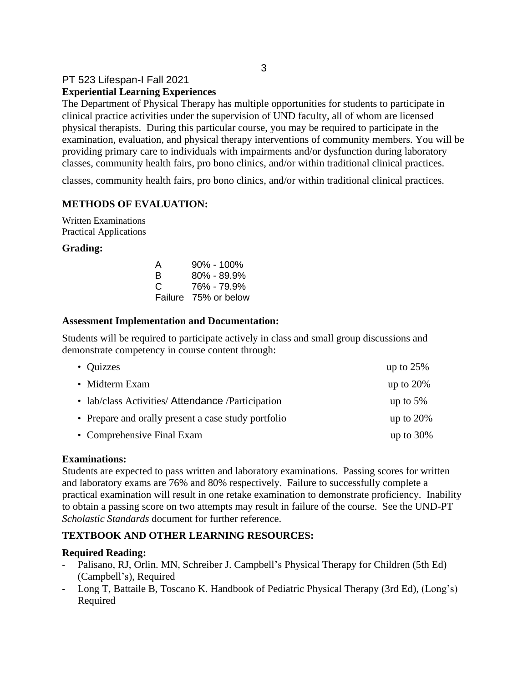# PT 523 Lifespan-I Fall 2021 **Experiential Learning Experiences**

The Department of Physical Therapy has multiple opportunities for students to participate in clinical practice activities under the supervision of UND faculty, all of whom are licensed physical therapists. During this particular course, you may be required to participate in the examination, evaluation, and physical therapy interventions of community members. You will be providing primary care to individuals with impairments and/or dysfunction during laboratory classes, community health fairs, pro bono clinics, and/or within traditional clinical practices.

classes, community health fairs, pro bono clinics, and/or within traditional clinical practices.

# **METHODS OF EVALUATION:**

Written Examinations Practical Applications

#### **Grading:**

| A       | $90\% - 100\%$ |
|---------|----------------|
| R       | 80% - 89.9%    |
| C       | 76% - 79.9%    |
| Failure | 75% or below   |

#### **Assessment Implementation and Documentation:**

Students will be required to participate actively in class and small group discussions and demonstrate competency in course content through:

| • Quizzes                                           | up to $25%$  |
|-----------------------------------------------------|--------------|
| • Midterm Exam                                      | up to $20\%$ |
| • lab/class Activities/ Attendance / Participation  | up to $5\%$  |
| • Prepare and orally present a case study portfolio | up to $20\%$ |
| • Comprehensive Final Exam                          | up to $30\%$ |

#### **Examinations:**

Students are expected to pass written and laboratory examinations. Passing scores for written and laboratory exams are 76% and 80% respectively. Failure to successfully complete a practical examination will result in one retake examination to demonstrate proficiency. Inability to obtain a passing score on two attempts may result in failure of the course. See the UND-PT *Scholastic Standards* document for further reference.

#### **TEXTBOOK AND OTHER LEARNING RESOURCES:**

#### **Required Reading:**

- Palisano, RJ, Orlin. MN, Schreiber J. Campbell's Physical Therapy for Children (5th Ed) (Campbell's), Required
- Long T, Battaile B, Toscano K. Handbook of Pediatric Physical Therapy (3rd Ed), (Long's) Required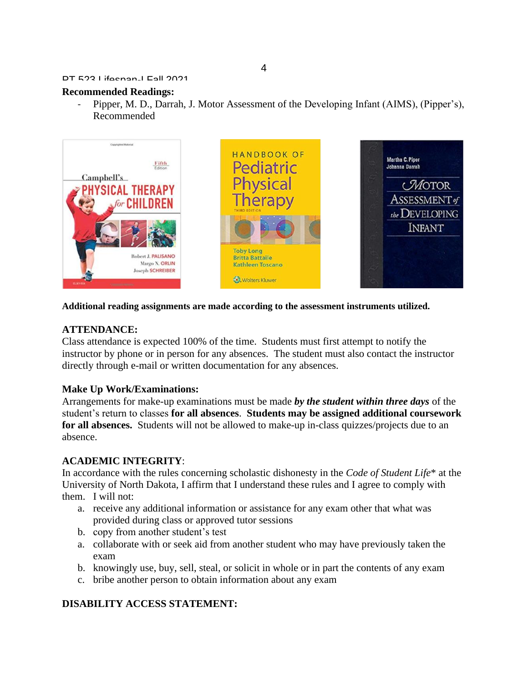#### **Recommended Readings:**

Pipper, M. D., Darrah, J. Motor Assessment of the Developing Infant (AIMS), (Pipper's), Recommended



#### **Additional reading assignments are made according to the assessment instruments utilized.**

#### **ATTENDANCE:**

Class attendance is expected 100% of the time. Students must first attempt to notify the instructor by phone or in person for any absences. The student must also contact the instructor directly through e-mail or written documentation for any absences.

#### **Make Up Work/Examinations:**

Arrangements for make-up examinations must be made *by the student within three days* of the student's return to classes **for all absences**. **Students may be assigned additional coursework for all absences.** Students will not be allowed to make-up in-class quizzes/projects due to an absence.

#### **ACADEMIC INTEGRITY**:

In accordance with the rules concerning scholastic dishonesty in the *Code of Student Life*\* at the University of North Dakota, I affirm that I understand these rules and I agree to comply with them. I will not:

- a. receive any additional information or assistance for any exam other that what was provided during class or approved tutor sessions
- b. copy from another student's test
- a. collaborate with or seek aid from another student who may have previously taken the exam
- b. knowingly use, buy, sell, steal, or solicit in whole or in part the contents of any exam
- c. bribe another person to obtain information about any exam

#### **DISABILITY ACCESS STATEMENT:**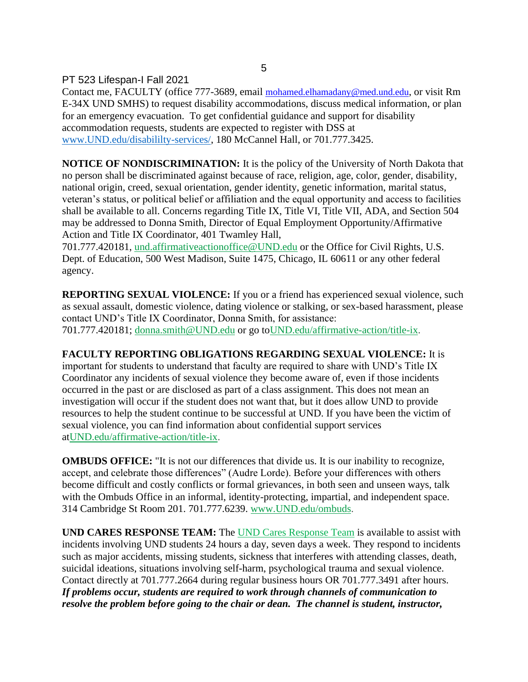Contact me, FACULTY (office 777-3689, email mohamed.elhamadany@med.und.edu, or visit Rm E-34X UND SMHS) to request disability accommodations, discuss medical information, or plan for an emergency evacuation. To get confidential guidance and support for disability accommodation requests, students are expected to register with DSS at [www.UND.edu/disabililty-services/,](file:///C:/Users/David.Relling/Documents/@UND-PT%20Teaching_Research_Service/@Teaching/@Teaching%20FALL/PT513/Syllabus_Objectives/www.UND.edu/disabililty-services/) 180 McCannel Hall, or 701.777.3425.

5

**NOTICE OF NONDISCRIMINATION:** It is the policy of the University of North Dakota that no person shall be discriminated against because of race, religion, age, color, gender, disability, national origin, creed, sexual orientation, gender identity, genetic information, marital status, veteran's status, or political belief or affiliation and the equal opportunity and access to facilities shall be available to all. Concerns regarding Title IX, Title VI, Title VII, ADA, and Section 504 may be addressed to Donna Smith, Director of Equal Employment Opportunity/Affirmative Action and Title IX Coordinator, 401 Twamley Hall,

701.777.420181, [und.affirmativeactionoffice@UND.edu](mailto:und.affirmativeactionoffice@UND.edu) or the Office for Civil Rights, U.S. Dept. of Education, 500 West Madison, Suite 1475, Chicago, IL 60611 or any other federal agency.

**REPORTING SEXUAL VIOLENCE:** If you or a friend has experienced sexual violence, such as sexual assault, domestic violence, dating violence or stalking, or sex-based harassment, please contact UND's Title IX Coordinator, Donna Smith, for assistance: 701.777.420181; [donna.smith@UND.edu](mailto:donna.smith@UND.edu) or go t[oUND.edu/affirmative-action/title-ix.](http://und.edu/affirmative-action/title-ix/index.cfm)

# **FACULTY REPORTING OBLIGATIONS REGARDING SEXUAL VIOLENCE:** It is

important for students to understand that faculty are required to share with UND's Title IX Coordinator any incidents of sexual violence they become aware of, even if those incidents occurred in the past or are disclosed as part of a class assignment. This does not mean an investigation will occur if the student does not want that, but it does allow UND to provide resources to help the student continue to be successful at UND. If you have been the victim of sexual violence, you can find information about confidential support services a[tUND.edu/affirmative-action/title-ix.](http://und.edu/affirmative-action/title-ix/index.cfm)

**OMBUDS OFFICE:** "It is not our differences that divide us. It is our inability to recognize, accept, and celebrate those differences" (Audre Lorde). Before your differences with others become difficult and costly conflicts or formal grievances, in both seen and unseen ways, talk with the Ombuds Office in an informal, identity-protecting, impartial, and independent space. 314 Cambridge St Room 201. 701.777.6239. [www.UND.edu/ombuds.](http://www.und.edu/ombuds)

**UND CARES RESPONSE TEAM:** The [UND Cares Response Team](http://und.edu/student-affairs/student-rights-responsibilities/care-team.cfm) is available to assist with incidents involving UND students 24 hours a day, seven days a week. They respond to incidents such as major accidents, missing students, sickness that interferes with attending classes, death, suicidal ideations, situations involving self-harm, psychological trauma and sexual violence. Contact directly at 701.777.2664 during regular business hours OR 701.777.3491 after hours. *If problems occur, students are required to work through channels of communication to resolve the problem before going to the chair or dean. The channel is student, instructor,*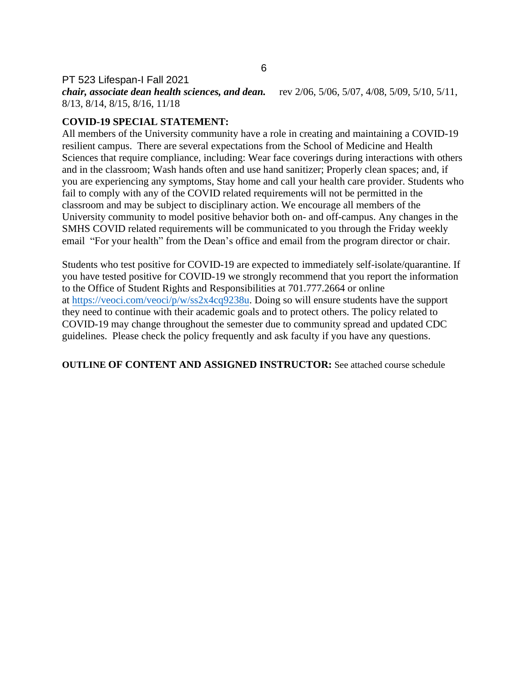*chair, associate dean health sciences, and dean.* rev 2/06, 5/06, 5/07, 4/08, 5/09, 5/10, 5/11, 8/13, 8/14, 8/15, 8/16, 11/18

# **COVID-19 SPECIAL STATEMENT:**

All members of the University community have a role in creating and maintaining a COVID-19 resilient campus. There are several expectations from the School of Medicine and Health Sciences that require compliance, including: Wear face coverings during interactions with others and in the classroom; Wash hands often and use hand sanitizer; Properly clean spaces; and, if you are experiencing any symptoms, Stay home and call your health care provider. Students who fail to comply with any of the COVID related requirements will not be permitted in the classroom and may be subject to disciplinary action. We encourage all members of the University community to model positive behavior both on- and off-campus. Any changes in the SMHS COVID related requirements will be communicated to you through the Friday weekly email "For your health" from the Dean's office and email from the program director or chair.

Students who test positive for COVID-19 are expected to immediately self-isolate/quarantine. If you have tested positive for COVID-19 we strongly recommend that you report the information to the Office of Student Rights and Responsibilities at 701.777.2664 or online at [https://veoci.com/veoci/p/w/ss2x4cq9238u.](https://veoci.com/veoci/p/w/ss2x4cq9238u) Doing so will ensure students have the support they need to continue with their academic goals and to protect others. The policy related to COVID-19 may change throughout the semester due to community spread and updated CDC guidelines. Please check the policy frequently and ask faculty if you have any questions.

**OUTLINE OF CONTENT AND ASSIGNED INSTRUCTOR:** See attached course schedule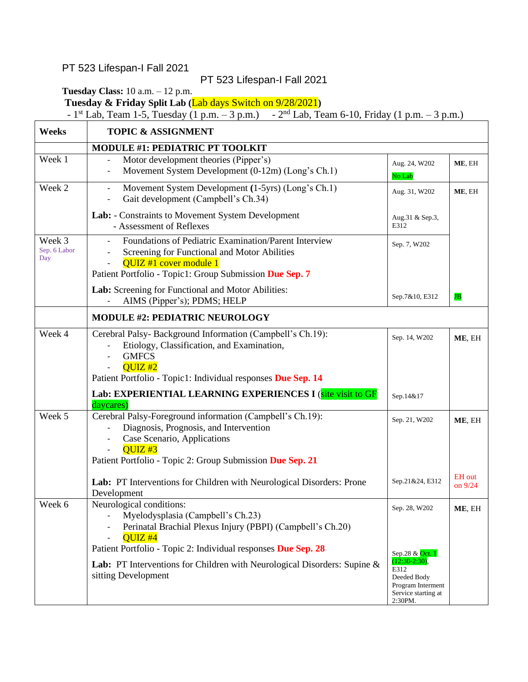$\mathsf{r}$ 

# PT 523 Lifespan-I Fall 2021

**Tuesday Class:** 10 a.m. – 12 p.m.

**Tuesday & Friday Split Lab (**Lab days Switch on 9/28/2021**)**

-  $1^{st}$  Lab, Team 1-5, Tuesday (1 p.m. – 3 p.m.) -  $2^{nd}$  Lab, Team 6-10, Friday (1 p.m. – 3 p.m.)

| Weeks                         | <b>TOPIC &amp; ASSIGNMENT</b>                                                                                                                                                                                |                                                                                                |                            |
|-------------------------------|--------------------------------------------------------------------------------------------------------------------------------------------------------------------------------------------------------------|------------------------------------------------------------------------------------------------|----------------------------|
|                               | MODULE #1: PEDIATRIC PT TOOLKIT                                                                                                                                                                              |                                                                                                |                            |
| Week 1                        | Motor development theories (Pipper's)<br>$\overline{\phantom{0}}$<br>Movement System Development (0-12m) (Long's Ch.1)                                                                                       | Aug. 24, W202<br>No Lab                                                                        | ME, EH                     |
| Week 2                        | Movement System Development (1-5yrs) (Long's Ch.1)<br>$\qquad \qquad -$<br>Gait development (Campbell's Ch.34)<br>$\overline{\phantom{a}}$                                                                   | Aug. 31, W202                                                                                  | ME, EH                     |
|                               | Lab: - Constraints to Movement System Development<br>- Assessment of Reflexes                                                                                                                                | Aug.31 & Sep.3,<br>E312                                                                        |                            |
| Week 3<br>Sep. 6 Labor<br>Day | Foundations of Pediatric Examination/Parent Interview<br>Screening for Functional and Motor Abilities<br>QUIZ #1 cover module 1<br>Patient Portfolio - Topic1: Group Submission Due Sep. 7                   | Sep. 7, W202                                                                                   |                            |
|                               | Lab: Screening for Functional and Motor Abilities:<br>AIMS (Pipper's); PDMS; HELP                                                                                                                            | Sep.7&10, E312                                                                                 | $_{\rm JB}$                |
|                               | <b>MODULE #2: PEDIATRIC NEUROLOGY</b>                                                                                                                                                                        |                                                                                                |                            |
| Week 4                        | Cerebral Palsy- Background Information (Campbell's Ch.19):<br>Etiology, Classification, and Examination,<br><b>GMFCS</b><br>OUTZ #2<br>Patient Portfolio - Topic1: Individual responses Due Sep. 14          | Sep. 14, W202                                                                                  | ME, EH                     |
|                               | Lab: EXPERIENTIAL LEARNING EXPERIENCES I (site visit to GF<br>daycares)                                                                                                                                      | Sep.14&17                                                                                      |                            |
| Week 5                        | Cerebral Palsy-Foreground information (Campbell's Ch.19):<br>Diagnosis, Prognosis, and Intervention<br>Case Scenario, Applications<br>$OUTZ$ #3<br>Patient Portfolio - Topic 2: Group Submission Due Sep. 21 | Sep. 21, W202                                                                                  | ME, EH                     |
|                               | Lab: PT Interventions for Children with Neurological Disorders: Prone<br>Development                                                                                                                         | Sep.21&24, E312                                                                                | <b>EH</b> out<br>on $9/24$ |
| Week 6                        | Neurological conditions:<br>Myelodysplasia (Campbell's Ch.23)<br>Perinatal Brachial Plexus Injury (PBPI) (Campbell's Ch.20)<br>$QUIZ +4$<br>Patient Portfolio - Topic 2: Individual responses Due Sep. 28    | Sep. 28, W202<br>Sep.28 & Oct. 1                                                               | ME, EH                     |
|                               | Lab: PT Interventions for Children with Neurological Disorders: Supine &<br>sitting Development                                                                                                              | $(12:30-2:30)$ ,<br>E312<br>Deeded Body<br>Program Interment<br>Service starting at<br>2:30PM. |                            |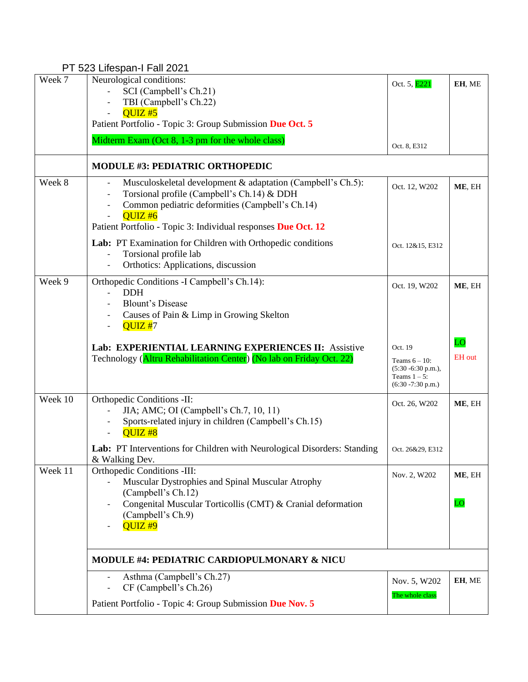| Week 7  | Neurological conditions:<br>SCI (Campbell's Ch.21)<br>TBI (Campbell's Ch.22)                                                                                                                                                                                        | Oct. 5, E221                                                                                    | EH, ME              |  |
|---------|---------------------------------------------------------------------------------------------------------------------------------------------------------------------------------------------------------------------------------------------------------------------|-------------------------------------------------------------------------------------------------|---------------------|--|
|         | QUIZ#5<br>Patient Portfolio - Topic 3: Group Submission Due Oct. 5                                                                                                                                                                                                  |                                                                                                 |                     |  |
|         | Midterm Exam (Oct 8, 1-3 pm for the whole class)                                                                                                                                                                                                                    | Oct. 8, E312                                                                                    |                     |  |
|         | <b>MODULE #3: PEDIATRIC ORTHOPEDIC</b>                                                                                                                                                                                                                              |                                                                                                 |                     |  |
| Week 8  | Musculoskeletal development & adaptation (Campbell's Ch.5):<br>$\overline{\phantom{a}}$<br>Torsional profile (Campbell's Ch.14) & DDH<br>Common pediatric deformities (Campbell's Ch.14)<br>OUTZ#6<br>Patient Portfolio - Topic 3: Individual responses Due Oct. 12 | Oct. 12, W202                                                                                   | ME, EH              |  |
|         | Lab: PT Examination for Children with Orthopedic conditions<br>Torsional profile lab<br>Orthotics: Applications, discussion<br>$\overline{\phantom{a}}$                                                                                                             | Oct. 12&15, E312                                                                                |                     |  |
| Week 9  | Orthopedic Conditions -I Campbell's Ch.14):<br><b>DDH</b><br><b>Blount's Disease</b><br>Causes of Pain & Limp in Growing Skelton<br>QUIZ#7<br>$\overline{a}$                                                                                                        | Oct. 19, W202                                                                                   | ME, EH              |  |
|         | Lab: EXPERIENTIAL LEARNING EXPERIENCES II: Assistive<br>Technology (Altru Rehabilitation Center) (No lab on Friday Oct. 22)                                                                                                                                         | Oct. 19<br>Teams $6 - 10$ :<br>$(5:30 - 6:30 p.m.),$<br>Teams $1 - 5$ :<br>$(6:30 - 7:30 p.m.)$ | LO<br><b>EH</b> out |  |
| Week 10 | Orthopedic Conditions -II:<br>JIA; AMC; OI (Campbell's Ch.7, 10, 11)<br>$\overline{\phantom{a}}$<br>Sports-related injury in children (Campbell's Ch.15)<br>QUIZ <sub>#8</sub>                                                                                      | Oct. 26, W202                                                                                   | ME, EH              |  |
|         | Lab: PT Interventions for Children with Neurological Disorders: Standing<br>& Walking Dev.                                                                                                                                                                          | Oct. 26&29, E312                                                                                |                     |  |
| Week 11 | Orthopedic Conditions -III:<br>Muscular Dystrophies and Spinal Muscular Atrophy<br>(Campbell's Ch.12)                                                                                                                                                               | Nov. 2, W202                                                                                    | ME, EH              |  |
|         | Congenital Muscular Torticollis (CMT) & Cranial deformation<br>(Campbell's Ch.9)<br>QUIZ <sup>#9</sup>                                                                                                                                                              |                                                                                                 | LO                  |  |
|         | MODULE #4: PEDIATRIC CARDIOPULMONARY & NICU                                                                                                                                                                                                                         |                                                                                                 |                     |  |
|         | Asthma (Campbell's Ch.27)<br>CF (Campbell's Ch.26)                                                                                                                                                                                                                  | Nov. 5, W202<br>The whole class                                                                 | EH, ME              |  |
|         | Patient Portfolio - Topic 4: Group Submission Due Nov. 5                                                                                                                                                                                                            |                                                                                                 |                     |  |